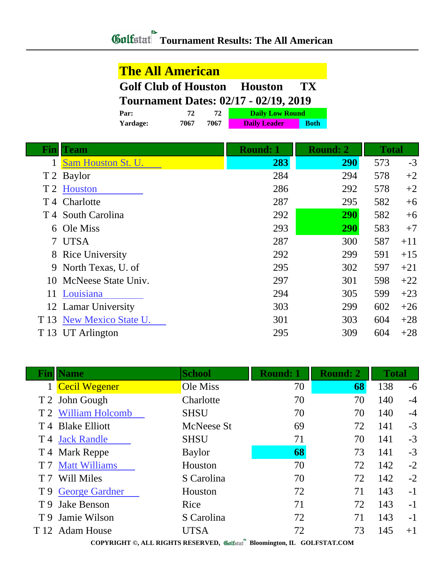| <b>The All American</b>                      |      |      |                        |             |  |  |  |
|----------------------------------------------|------|------|------------------------|-------------|--|--|--|
| <b>Golf Club of Houston Houston</b><br>TX.   |      |      |                        |             |  |  |  |
| <b>Tournament Dates: 02/17 - 02/19, 2019</b> |      |      |                        |             |  |  |  |
| Par:                                         | 72   | 72   | <b>Daily Low Round</b> |             |  |  |  |
| Yardage:                                     | 7067 | 7067 | <b>Daily Leader</b>    | <b>Both</b> |  |  |  |

| Fin            | <b>Team</b>                   | <b>Round: 1</b> | <b>Round: 2</b> | <b>Total</b> |       |
|----------------|-------------------------------|-----------------|-----------------|--------------|-------|
|                | Sam Houston St. U.            | 283             | 290             | 573          | $-3$  |
|                | T 2 Baylor                    | 284             | 294             | 578          | $+2$  |
| T <sub>2</sub> | Houston                       | 286             | 292             | 578          | $+2$  |
|                | T <sub>4</sub> Charlotte      | 287             | 295             | 582          | $+6$  |
|                | T <sub>4</sub> South Carolina | 292             | <b>290</b>      | 582          | $+6$  |
| 6              | Ole Miss                      | 293             | <b>290</b>      | 583          | $+7$  |
|                | 7 UTSA                        | 287             | 300             | 587          | $+11$ |
|                | 8 Rice University             | 292             | 299             | 591          | $+15$ |
|                | 9 North Texas, U. of          | 295             | 302             | 597          | $+21$ |
|                | 10 McNeese State Univ.        | 297             | 301             | 598          | $+22$ |
| 11             | Louisiana                     | 294             | 305             | 599          | $+23$ |
|                | 12 Lamar University           | 303             | 299             | 602          | $+26$ |
| T 13           | New Mexico State U.           | 301             | 303             | 604          | $+28$ |
| T 13           | <b>UT</b> Arlington           | 295             | 309             | 604          | $+28$ |

|     | <b>Fin</b>   Name    | <b>School</b> | <b>Round: 1</b> | <b>Round: 2</b> | <b>Total</b> |      |
|-----|----------------------|---------------|-----------------|-----------------|--------------|------|
|     | <b>Cecil Wegener</b> | Ole Miss      | 70              | 68              | 138          | $-6$ |
|     | T 2 John Gough       | Charlotte     | 70              | 70              | 140          | $-4$ |
|     | T 2 William Holcomb  | <b>SHSU</b>   | 70              | 70              | 140          | $-4$ |
|     | T 4 Blake Elliott    | McNeese St    | 69              | 72              | 141          | $-3$ |
|     | T 4 Jack Randle      | <b>SHSU</b>   | 71              | 70              | 141          | $-3$ |
|     | T 4 Mark Reppe       | <b>Baylor</b> | 68              | 73              | 141          | $-3$ |
|     | T 7 Matt Williams    | Houston       | 70              | 72              | 142          | $-2$ |
| T 7 | <b>Will Miles</b>    | S Carolina    | 70              | 72              | 142          | $-2$ |
|     | T 9 George Gardner   | Houston       | 72              | 71              | 143          | $-1$ |
|     | T 9 Jake Benson      | Rice          | 71              | 72              | 143          | $-1$ |
|     | T 9 Jamie Wilson     | S Carolina    | 72              | 71              | 143          | $-1$ |
|     | T 12 Adam House      | UTSA          | 72              | 73              | 145          | $+1$ |

**COPYRIGHT ©, ALL RIGHTS RESERVED, Bloomington, IL GOLFSTAT.COM**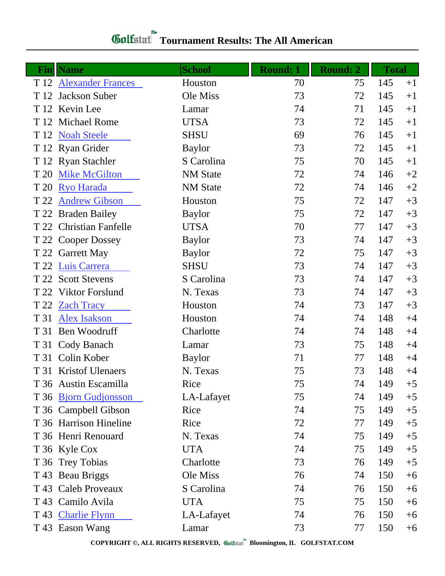## *Gulfatat* Tournament Results: The All American

| Finll | <b>Name</b>             | <b>School</b>   | <b>Round: 1</b> | <b>Round: 2</b> | <b>Total</b> |      |
|-------|-------------------------|-----------------|-----------------|-----------------|--------------|------|
|       | T 12 Alexander Frances  | Houston         | 70              | 75              | 145          | $+1$ |
| T 12  | Jackson Suber           | Ole Miss        | 73              | 72              | 145          | $+1$ |
|       | T 12 Kevin Lee          | Lamar           | 74              | 71              | 145          | $+1$ |
|       | T 12 Michael Rome       | <b>UTSA</b>     | 73              | 72              | 145          | $+1$ |
|       | T 12 Noah Steele        | <b>SHSU</b>     | 69              | 76              | 145          | $+1$ |
|       | T 12 Ryan Grider        | <b>Baylor</b>   | 73              | 72              | 145          | $+1$ |
|       | T 12 Ryan Stachler      | S Carolina      | 75              | 70              | 145          | $+1$ |
| T 20  | <b>Mike McGilton</b>    | <b>NM</b> State | 72              | 74              | 146          | $+2$ |
| T 20  | <b>Ryo Harada</b>       | <b>NM</b> State | 72              | 74              | 146          | $+2$ |
| T 22  | <b>Andrew Gibson</b>    | Houston         | 75              | 72              | 147          | $+3$ |
|       | T 22 Braden Bailey      | <b>Baylor</b>   | 75              | 72              | 147          | $+3$ |
|       | T 22 Christian Fanfelle | <b>UTSA</b>     | 70              | 77              | 147          | $+3$ |
|       | T 22 Cooper Dossey      | <b>Baylor</b>   | 73              | 74              | 147          | $+3$ |
|       | T 22 Garrett May        | <b>Baylor</b>   | 72              | 75              | 147          | $+3$ |
|       | T 22 Luis Carrera       | <b>SHSU</b>     | 73              | 74              | 147          | $+3$ |
|       | T 22 Scott Stevens      | S Carolina      | 73              | 74              | 147          | $+3$ |
|       | T 22 Viktor Forslund    | N. Texas        | 73              | 74              | 147          | $+3$ |
|       | T 22 Zach Tracy         | Houston         | 74              | 73              | 147          | $+3$ |
|       | T 31 Alex Isakson       | Houston         | 74              | 74              | 148          | $+4$ |
|       | T 31 Ben Woodruff       | Charlotte       | 74              | 74              | 148          | $+4$ |
|       | T 31 Cody Banach        | Lamar           | 73              | 75              | 148          | $+4$ |
|       | T 31 Colin Kober        | <b>Baylor</b>   | 71              | 77              | 148          | $+4$ |
|       | T 31 Kristof Ulenaers   | N. Texas        | 75              | 73              | 148          | $+4$ |
|       | T 36 Austin Escamilla   | Rice            | 75              | 74              | 149          | $+5$ |
|       | T 36 Bjorn Gudjonsson   | LA-Lafayet      | 75              | 74              | 149          | $+5$ |
|       | T 36 Campbell Gibson    | Rice            | 74              | 75              | 149          | $+5$ |
|       | T 36 Harrison Hineline  | Rice            | 72              | 77              | 149          | $+5$ |
|       | T 36 Henri Renouard     | N. Texas        | 74              | 75              | 149          | $+5$ |
|       | T 36 Kyle Cox           | <b>UTA</b>      | 74              | 75              | 149          | $+5$ |
|       | T 36 Trey Tobias        | Charlotte       | 73              | 76              | 149          | $+5$ |
|       | T 43 Beau Briggs        | Ole Miss        | 76              | 74              | 150          | $+6$ |
|       | T 43 Caleb Proveaux     | S Carolina      | 74              | 76              | 150          | $+6$ |
|       | T 43 Camilo Avila       | <b>UTA</b>      | 75              | 75              | 150          | $+6$ |
|       | T 43 Charlie Flynn      | LA-Lafayet      | 74              | 76              | 150          | $+6$ |
|       | T 43 Eason Wang         | Lamar           | 73              | 77              | 150          | $+6$ |

**COPYRIGHT ©, ALL RIGHTS RESERVED, Bloomington, IL GOLFSTAT.COM**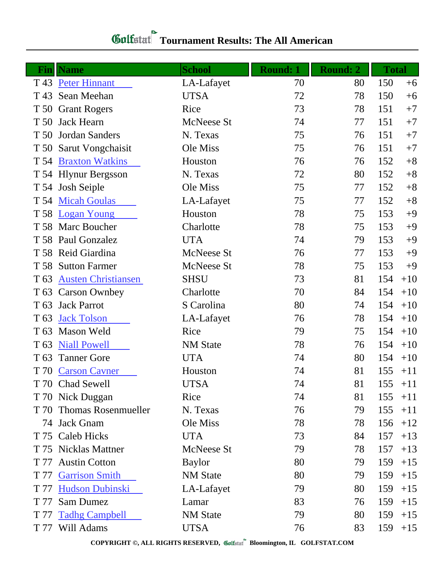## *Gulfatat* Tournament Results: The All American

| Fin             | <b>Name</b>                | <b>School</b>     | <b>Round: 1</b> | <b>Round: 2</b> | <b>Total</b> |       |
|-----------------|----------------------------|-------------------|-----------------|-----------------|--------------|-------|
|                 | T 43 Peter Hinnant         | LA-Lafayet        | 70              | 80              | 150          | $+6$  |
| T 43            | Sean Meehan                | <b>UTSA</b>       | 72              | 78              | 150          | $+6$  |
|                 | T 50 Grant Rogers          | Rice              | 73              | 78              | 151          | $+7$  |
|                 | T 50 Jack Hearn            | McNeese St        | 74              | 77              | 151          | $+7$  |
|                 | T 50 Jordan Sanders        | N. Texas          | 75              | 76              | 151          | $+7$  |
|                 | T 50 Sarut Vongchaisit     | Ole Miss          | 75              | 76              | 151          | $+7$  |
|                 | T 54 Braxton Watkins       | Houston           | 76              | 76              | 152          | $+8$  |
|                 | T 54 Hlynur Bergsson       | N. Texas          | 72              | 80              | 152          | $+8$  |
|                 | T 54 Josh Seiple           | Ole Miss          | 75              | 77              | 152          | $+8$  |
|                 | T 54 Micah Goulas          | LA-Lafayet        | 75              | 77              | 152          | $+8$  |
| T 58            | <b>Logan Young</b>         | Houston           | 78              | 75              | 153          | $+9$  |
|                 | T 58 Marc Boucher          | Charlotte         | 78              | 75              | 153          | $+9$  |
|                 | T 58 Paul Gonzalez         | <b>UTA</b>        | 74              | 79              | 153          | $+9$  |
|                 | T 58 Reid Giardina         | <b>McNeese St</b> | 76              | 77              | 153          | $+9$  |
|                 | T 58 Sutton Farmer         | McNeese St        | 78              | 75              | 153          | $+9$  |
| T 63            | <b>Austen Christiansen</b> | <b>SHSU</b>       | 73              | 81              | 154          | $+10$ |
|                 | T 63 Carson Ownbey         | Charlotte         | 70              | 84              | 154          | $+10$ |
| T <sub>63</sub> | <b>Jack Parrot</b>         | S Carolina        | 80              | 74              | 154          | $+10$ |
| T <sub>63</sub> | <b>Jack Tolson</b>         | LA-Lafayet        | 76              | 78              | 154          | $+10$ |
| T <sub>63</sub> | <b>Mason Weld</b>          | Rice              | 79              | 75              | 154          | $+10$ |
| T <sub>63</sub> | <b>Niall Powell</b>        | <b>NM</b> State   | 78              | 76              | 154          | $+10$ |
| T <sub>63</sub> | <b>Tanner Gore</b>         | <b>UTA</b>        | 74              | 80              | 154          | $+10$ |
|                 | T 70 Carson Cavner         | Houston           | 74              | 81              | 155          | $+11$ |
|                 | T 70 Chad Sewell           | <b>UTSA</b>       | 74              | 81              | 155          | $+11$ |
|                 | T 70 Nick Duggan           | Rice              | 74              | 81              | 155          | $+11$ |
|                 | T 70 Thomas Rosenmueller   | N. Texas          | 76              | 79              | 155          | $+11$ |
|                 | 74 Jack Gnam               | Ole Miss          | 78              | 78              | 156          | $+12$ |
|                 | T 75 Caleb Hicks           | <b>UTA</b>        | 73              | 84              | 157          | $+13$ |
|                 | T 75 Nicklas Mattner       | McNeese St        | 79              | 78              | 157          | $+13$ |
| T 77            | <b>Austin Cotton</b>       | <b>Baylor</b>     | 80              | 79              | 159          | $+15$ |
| T 77            | <b>Garrison Smith</b>      | <b>NM</b> State   | 80              | 79              | 159          | $+15$ |
| T 77            | <b>Hudson Dubinski</b>     | LA-Lafayet        | 79              | 80              | 159          | $+15$ |
| T 77            | <b>Sam Dumez</b>           | Lamar             | 83              | 76              | 159          | $+15$ |
| T 77            | <b>Tadhg Campbell</b>      | <b>NM</b> State   | 79              | 80              | 159          | $+15$ |
| T 77            | Will Adams                 | <b>UTSA</b>       | 76              | 83              | 159          | $+15$ |

**COPYRIGHT ©, ALL RIGHTS RESERVED, Bloomington, IL GOLFSTAT.COM**